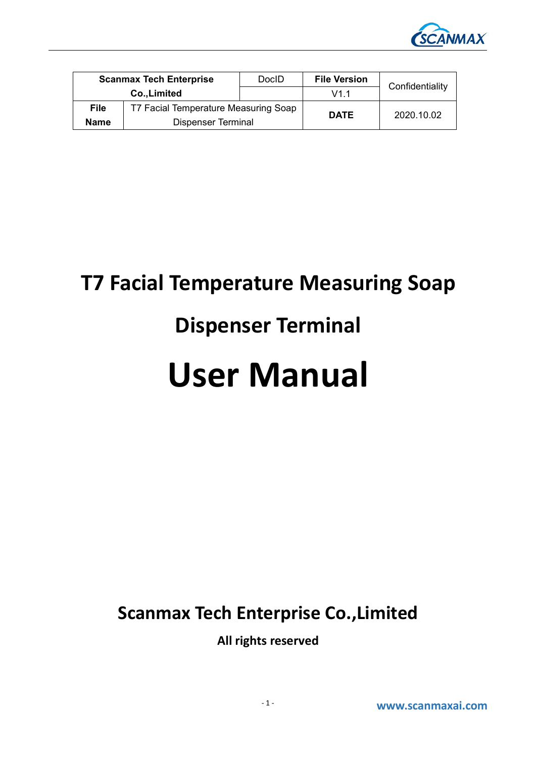

| <b>Scanmax Tech Enterprise</b> |                                      | DocID | <b>File Version</b> | Confidentiality |
|--------------------------------|--------------------------------------|-------|---------------------|-----------------|
| Co., Limited                   |                                      |       | V1.1                |                 |
| <b>File</b>                    | T7 Facial Temperature Measuring Soap |       | <b>DATE</b>         | 2020.10.02      |
| <b>Name</b>                    | Dispenser Terminal                   |       |                     |                 |

# **T7 Facial Temperature Measuring Soap**

# **Dispenser Terminal**

# **User Manual**

## **Scanmax Tech Enterprise Co.,Limited**

**All rights reserved**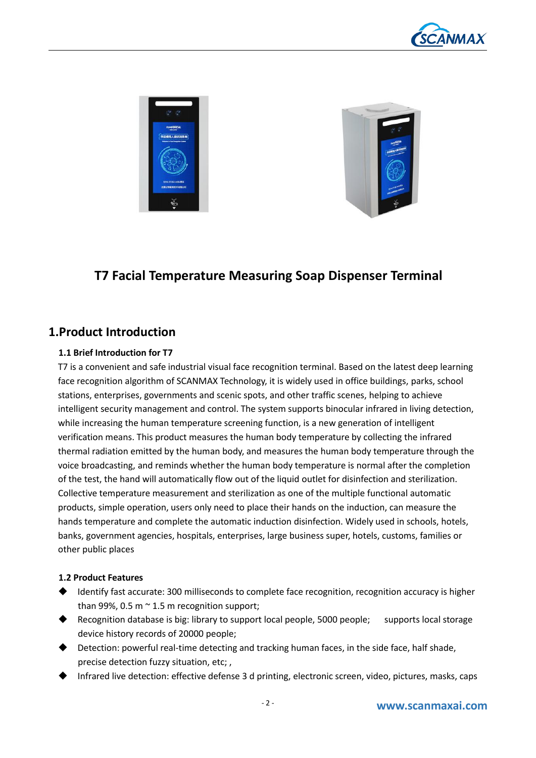





## **T7 Facial Temperature Measuring Soap Dispenser Terminal**

### **1.Product Introduction**

#### **1.1 Brief Introduction for T7**

T7 is a convenient and safe industrial visual face recognition terminal. Based on the latest deep learning face recognition algorithm of SCANMAX Technology, it is widely used in office buildings, parks, school stations, enterprises, governments and scenic spots, and other traffic scenes, helping to achieve intelligent security management and control. The system supports binocular infrared in living detection, while increasing the human temperature screening function, is a new generation of intelligent verification means. This product measures the human body temperature by collecting the infrared thermal radiation emitted by the human body, and measures the human body temperature through the voice broadcasting, and reminds whether the human body temperature is normal after the completion of the test, the hand will automatically flow out of the liquid outlet for disinfection and sterilization.<br>Collective temperature measurement and sterilization as one of the multiple functional automatic products, simple operation, users only need to place their hands on the induction, can measure the hands temperature and complete the automatic induction disinfection. Widely used in schools, hotels, banks, government agencies, hospitals, enterprises, large business super, hotels, customs, families or other public places

#### **1.2 Product Features**

- Identify fast accurate: 300 milliseconds to complete face recognition, recognition accuracy is higher than 99%, 0.5 m  $\sim$  1.5 m recognition support;
- Recognition database is big: library to support local people, 5000 people; supports local storage device history records of 20000 people;
- Detection: powerful real-time detecting and tracking human faces, in the side face, half shade, precise detection fuzzy situation, etc; ,
- Infrared live detection: effective defense 3 d printing, electronic screen, video, pictures, masks, caps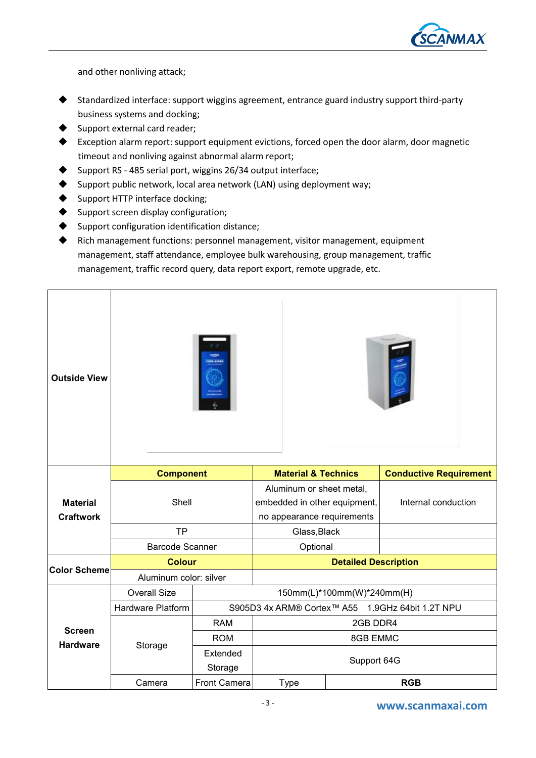

and other nonliving attack;

- Standardized interface: support wiggins agreement, entrance guard industry support third-party business systems and docking;
- Support external card reader;
- Exception alarm report: support equipment evictions, forced open the door alarm, door magnetic timeout and nonliving against abnormal alarm report;
- Support RS 485 serial port, wiggins 26/34 output interface;
- Support public network, local area network (LAN) using deployment way;
- Support HTTP interface docking;
- Support screen display configuration;
- Support configuration identification distance;
- Rich management functions: personnel management, visitor management, equipment management, staff attendance, employee bulk warehousing, group management, traffic management, traffic record query, data report export, remote upgrade, etc.

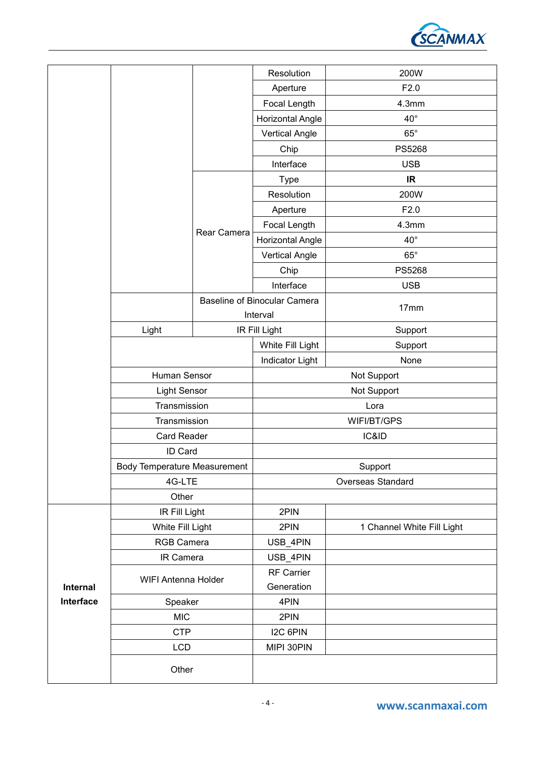

|           |                                     |             | Resolution                          | 200W                       |
|-----------|-------------------------------------|-------------|-------------------------------------|----------------------------|
|           |                                     |             | Aperture                            | F2.0                       |
|           |                                     |             | Focal Length                        | 4.3mm                      |
|           |                                     |             | <b>Horizontal Angle</b>             | $40^{\circ}$               |
|           |                                     |             | <b>Vertical Angle</b>               | $65^\circ$                 |
|           |                                     |             | Chip                                | PS5268                     |
|           |                                     |             | Interface                           | <b>USB</b>                 |
|           |                                     |             | <b>Type</b>                         | <b>IR</b>                  |
|           |                                     |             | Resolution                          | 200W                       |
|           |                                     | Rear Camera | Aperture                            | F2.0                       |
|           |                                     |             | Focal Length                        | 4.3mm                      |
|           |                                     |             | <b>Horizontal Angle</b>             | $40^{\circ}$               |
|           |                                     |             | <b>Vertical Angle</b>               | $65^\circ$                 |
|           |                                     |             | Chip                                | PS5268                     |
|           |                                     |             | Interface                           | <b>USB</b>                 |
|           |                                     |             | <b>Baseline of Binocular Camera</b> |                            |
|           |                                     |             | 17mm<br>Interval                    |                            |
|           | Light                               |             | IR Fill Light                       | Support                    |
|           |                                     |             | White Fill Light                    | Support                    |
|           |                                     |             | <b>Indicator Light</b>              | None                       |
|           | Human Sensor                        |             | Not Support                         |                            |
|           | Light Sensor                        |             | Not Support                         |                            |
|           | Transmission                        |             | Lora                                |                            |
|           | Transmission                        |             | WIFI/BT/GPS                         |                            |
|           | Card Reader                         |             |                                     | IC&ID                      |
|           | ID Card                             |             |                                     |                            |
|           | <b>Body Temperature Measurement</b> |             | Support                             |                            |
|           | 4G-LTE                              |             |                                     | Overseas Standard          |
|           | Other                               |             |                                     |                            |
|           | IR Fill Light                       |             | 2PIN                                |                            |
|           | White Fill Light                    |             | 2PIN                                | 1 Channel White Fill Light |
|           | <b>RGB Camera</b>                   |             | USB_4PIN                            |                            |
|           | IR Camera                           |             | USB_4PIN                            |                            |
|           | WIFI Antenna Holder                 |             | RF Carrier                          |                            |
| Internal  |                                     |             | Generation                          |                            |
| Interface | Speaker                             |             | 4PIN                                |                            |
|           | <b>MIC</b>                          |             | 2PIN                                |                            |
|           | <b>CTP</b>                          |             | I2C 6PIN                            |                            |
|           | <b>LCD</b>                          |             | MIPI 30PIN                          |                            |
|           | Other                               |             |                                     |                            |
|           |                                     |             |                                     |                            |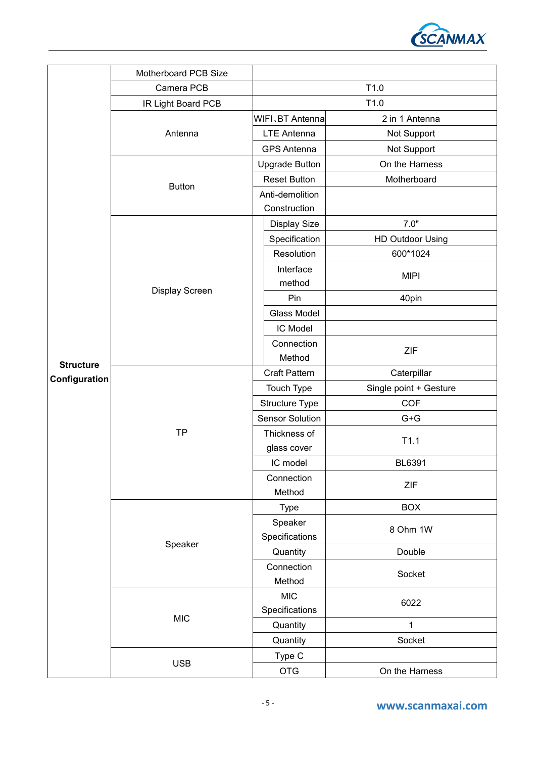

|                  | Motherboard PCB Size |                           |                         |  |
|------------------|----------------------|---------------------------|-------------------------|--|
|                  | Camera PCB           | T1.0                      |                         |  |
|                  | IR Light Board PCB   | T1.0                      |                         |  |
|                  |                      | WIFI、BT Antenna           | 2 in 1 Antenna          |  |
|                  | Antenna              | <b>LTE Antenna</b>        | Not Support             |  |
|                  |                      | <b>GPS Antenna</b>        | Not Support             |  |
|                  |                      | <b>Upgrade Button</b>     | On the Harness          |  |
|                  |                      | <b>Reset Button</b>       | Motherboard             |  |
|                  | <b>Button</b>        | Anti-demolition           |                         |  |
|                  |                      | Construction              |                         |  |
|                  |                      | Display Size              | 7.0"                    |  |
|                  |                      | Specification             | <b>HD Outdoor Using</b> |  |
|                  |                      | Resolution                | 600*1024                |  |
|                  |                      | Interface<br>method       | <b>MIPI</b>             |  |
|                  | Display Screen       | Pin                       | 40pin                   |  |
|                  |                      | Glass Model               |                         |  |
|                  |                      | IC Model                  |                         |  |
| <b>Structure</b> |                      | Connection                |                         |  |
|                  |                      | Method                    | ZIF                     |  |
| Configuration    |                      | <b>Craft Pattern</b>      | Caterpillar             |  |
|                  |                      | Touch Type                | Single point + Gesture  |  |
|                  |                      | Structure Type            | <b>COF</b>              |  |
|                  |                      | Sensor Solution           | $G + G$                 |  |
|                  | <b>TP</b>            | Thickness of              | T1.1                    |  |
|                  |                      | glass cover               |                         |  |
|                  |                      | IC model                  | BL6391                  |  |
|                  |                      | Connection<br>Method      | ZIF                     |  |
|                  | Speaker              | <b>Type</b>               | <b>BOX</b>              |  |
|                  |                      | Speaker<br>Specifications | 8 Ohm 1W                |  |
|                  |                      | Quantity                  | Double                  |  |
|                  |                      | Connection                | Socket                  |  |
|                  |                      | Method                    |                         |  |
|                  | <b>MIC</b>           | <b>MIC</b>                | 6022                    |  |
|                  |                      | Specifications            |                         |  |
|                  |                      | Quantity                  | 1                       |  |
|                  |                      | Quantity                  | Socket                  |  |
|                  | <b>USB</b>           | Type C                    |                         |  |
|                  |                      | <b>OTG</b>                | On the Harness          |  |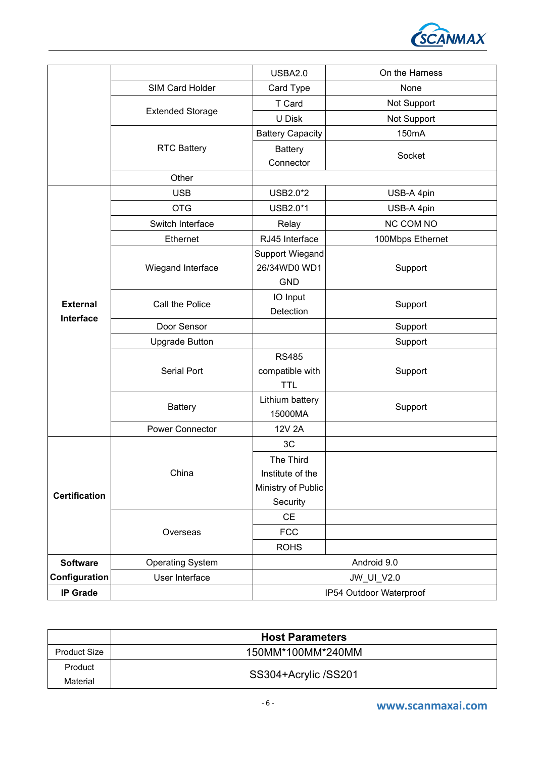

|                      |                                               | <b>USBA2.0</b>          | On the Harness   |  |
|----------------------|-----------------------------------------------|-------------------------|------------------|--|
|                      | SIM Card Holder                               | Card Type               | None             |  |
|                      | <b>Extended Storage</b><br><b>RTC Battery</b> | T Card                  | Not Support      |  |
|                      |                                               | U Disk                  | Not Support      |  |
|                      |                                               | <b>Battery Capacity</b> | 150mA            |  |
|                      |                                               | <b>Battery</b>          |                  |  |
|                      |                                               | Connector               | Socket           |  |
|                      | Other                                         |                         |                  |  |
|                      | <b>USB</b>                                    | USB2.0*2                | USB-A 4pin       |  |
|                      | <b>OTG</b>                                    | USB2.0*1                | USB-A 4pin       |  |
|                      | Switch Interface                              | Relay                   | <b>NC COM NO</b> |  |
|                      | Ethernet                                      | RJ45 Interface          | 100Mbps Ethernet |  |
|                      |                                               | Support Wiegand         |                  |  |
|                      | Wiegand Interface                             | 26/34WD0 WD1            | Support          |  |
|                      |                                               | <b>GND</b>              |                  |  |
|                      |                                               | IO Input                |                  |  |
| <b>External</b>      | Call the Police                               | Detection               | Support          |  |
| Interface            | Door Sensor                                   |                         | Support          |  |
|                      | <b>Upgrade Button</b>                         |                         | Support          |  |
|                      |                                               | <b>RS485</b>            |                  |  |
|                      | Serial Port                                   | compatible with         | Support          |  |
|                      |                                               | <b>TTL</b>              |                  |  |
|                      |                                               | Lithium battery         |                  |  |
|                      | <b>Battery</b>                                | 15000MA                 | Support          |  |
|                      | <b>Power Connector</b>                        | 12V 2A                  |                  |  |
|                      |                                               | 3C                      |                  |  |
|                      | China                                         | The Third               |                  |  |
| <b>Certification</b> |                                               | Institute of the        |                  |  |
|                      |                                               | Ministry of Public      |                  |  |
|                      |                                               | Security                |                  |  |
|                      |                                               | CE                      |                  |  |
|                      | Overseas                                      | <b>FCC</b>              |                  |  |
|                      |                                               | <b>ROHS</b>             |                  |  |
| <b>Software</b>      | <b>Operating System</b>                       |                         | Android 9.0      |  |
| Configuration        | User Interface                                | JW_UI_V2.0              |                  |  |
| <b>IP Grade</b>      |                                               | IP54 Outdoor Waterproof |                  |  |
|                      |                                               |                         |                  |  |

|                     | <b>Host Parameters</b> |
|---------------------|------------------------|
| <b>Product Size</b> | 150MM*100MM*240MM      |
| Product             |                        |
| Material            | SS304+Acrylic /SS201   |